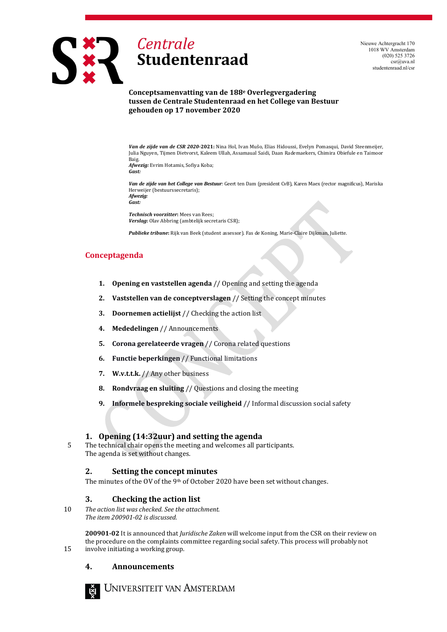

Nieuwe Achtergracht 170 1018 WV Amsterdam (020) 525 3726 csr@uva.nl studentenraad.nl/csr

**Conceptsamenvatting van de 188e Overlegvergadering tussen de Centrale Studentenraad en het College van Bestuur gehouden op 17 november 2020**

*Van de zijde van de CSR 2020-***2021:** Nina Hol, Ivan Mušo, Elias Hidoussi, Evelyn Pomasqui, David Steenmeijer, Julia Nguyen, Tijmen Dietvorst, Kaleem Ullah, Assamaual Saidi, Daan Rademaekers, Chimira Obiefule en Taimoor Baig. *Afwezig:* Evrim Hotamis, Sofiya Koba; *Gast:*

*Van de zijde van het College van Bestuur:* Geert ten Dam (president CvB), Karen Maex (rector magnificus), Mariska Herweijer (bestuurssecretaris); *Afwezig:*

*Gast:*

*Technisch voorzitter***:** Mees van Rees; *Verslag***:** Olav Abbring (ambtelijk secretaris CSR);

*Publieke tribune***:** Rijk van Beek (student assessor). Fas de Koning, Marie-Claire Dijkman, Juliette.

#### **Conceptagenda**

- **1. Opening en vaststellen agenda** // Opening and setting the agenda
- **2. Vaststellen van de conceptverslagen** // Setting the concept minutes
- **3. Doornemen actielijst** // Checking the action list
- **4. Mededelingen** // Announcements
- **5. Corona gerelateerde vragen** // Corona related questions
- **6. Functie beperkingen** // Functional limitations
- **7. W.v.t.t.k.** // Any other business
- **8. Rondvraag en sluiting** // Questions and closing the meeting
- **9. Informele bespreking sociale veiligheid** // Informal discussion social safety

#### **1. Opening (14:32uur) and setting the agenda**

5 The technical chair opens the meeting and welcomes all participants. The agenda is set without changes.

#### **2. Setting the concept minutes**

The minutes of the OV of the 9<sup>th</sup> of October 2020 have been set without changes.

#### **3. Checking the action list**

10 *The action list was checked. See the attachment. The item 200901-02 is discussed.*

**200901-02** It is announced that *Juridische Zaken* will welcome input from the CSR on their review on the procedure on the complaints committee regarding social safety. This process will probably not 15 involve initiating a working group.

#### **4. Announcements**



NIVERSITEIT VAN AMSTERDAM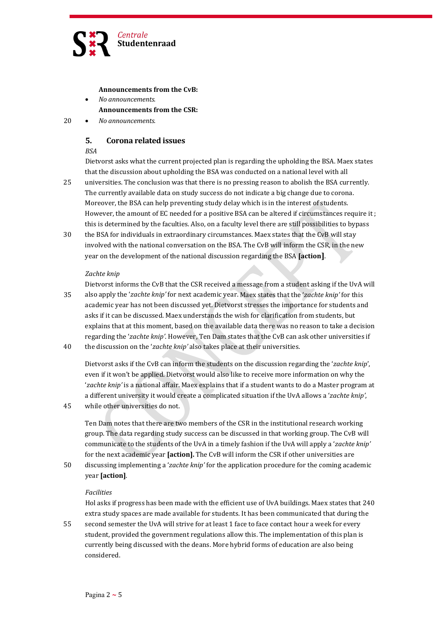

#### **Announcements from the CvB:**

- *No announcements.* **Announcements from the CSR:**
- 20 *No announcements.*

## **5. Corona related issues**

#### *BSA*

Dietvorst asks what the current projected plan is regarding the upholding the BSA. Maex states that the discussion about upholding the BSA was conducted on a national level with all

- 25 universities. The conclusion was that there is no pressing reason to abolish the BSA currently. The currently available data on study success do not indicate a big change due to corona. Moreover, the BSA can help preventing study delay which is in the interest of students. However, the amount of EC needed for a positive BSA can be altered if circumstances require it ; this is determined by the faculties. Also, on a faculty level there are still possibilities to bypass
- 30 the BSA for individuals in extraordinary circumstances. Maex states that the CvB will stay involved with the national conversation on the BSA. The CvB will inform the CSR, in the new year on the development of the national discussion regarding the BSA **[action]**.

#### *Zachte knip*

```
Dietvorst informs the CvB that the CSR received a message from a student asking if the UvA will
35 also apply the 'zachte knip' for next academic year. Maex states that the 'zachte knip' for this
       academic year has not been discussed yet. Dietvorst stresses the importance for students and
       asks if it can be discussed. Maex understands the wish for clarification from students, but
       explains that at this moment, based on the available data there was no reason to take a decision
       regarding the 'zachte knip'. However, Ten Dam states that the CvB can ask other universities if
40 the discussion on the 'zachte knip' also takes place at their universities.
```
Dietvorst asks if the CvB can inform the students on the discussion regarding the '*zachte knip*', even if it won't be applied. Dietvorst would also like to receive more information on why the '*zachte knip'* is a national affair. Maex explains that if a student wants to do a Master program at a different university it would create a complicated situation if the UvA allows a '*zachte knip'*,

45 while other universities do not.

Ten Dam notes that there are two members of the CSR in the institutional research working group. The data regarding study success can be discussed in that working group. The CvB will communicate to the students of the UvA in a timely fashion if the UvA will apply a '*zachte knip'* for the next academic year **[action].** The CvB will inform the CSR if other universities are

50 discussing implementing a '*zachte knip'* for the application procedure for the coming academic year **[action]**.

#### *Facilities*

Hol asks if progress has been made with the efficient use of UvA buildings. Maex states that 240 extra study spaces are made available for students. It has been communicated that during the

55 second semester the UvA will strive for at least 1 face to face contact hour a week for every student, provided the government regulations allow this. The implementation of this plan is currently being discussed with the deans. More hybrid forms of education are also being considered.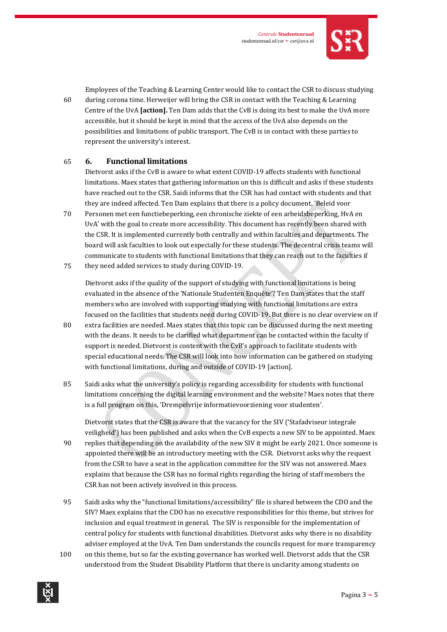

Employees of the Teaching & Learning Center would like to contact the CSR to discuss studying 60 during corona time. Herweijer will bring the CSR in contact with the Teaching & Learning Centre of the UvA **[action].** Ten Dam adds that the CvB is doing its best to make the UvA more accessible, but it should be kept in mind that the access of the UvA also depends on the possibilities and limitations of public transport. The CvB is in contact with these parties to represent the university's interest.

### 65 **6. Functional limitations**

Dietvorst asks if the CvB is aware to what extent COVID-19 affects students with functional limitations. Maex states that gathering information on this is difficult and asks if these students have reached out to the CSR. Saidi informs that the CSR has had contact with students and that they are indeed affected. Ten Dam explains that there is a policy document, 'Beleid voor

- 70 Personen met een functiebeperking, een chronische ziekte of een arbeidsbeperking, HvA en UvA' with the goal to create more accessibility. This document has recently been shared with the CSR. It is implemented currently both centrally and within faculties and departments. The board will ask faculties to look out especially for these students. The decentral crisis teams will communicate to students with functional limitations that they can reach out to the faculties if
- 75 they need added services to study during COVID-19.

Dietvorst asks if the quality of the support of studying with functional limitations is being evaluated in the absence of the 'Nationale Studenten Enquête'? Ten Dam states that the staff members who are involved with supporting studying with functional limitations are extra focused on the facilities that students need during COVID-19. But there is no clear overview on if

- 80 extra facilities are needed. Maex states that this topic can be discussed during the next meeting with the deans. It needs to be clarified what department can be contacted within the faculty if support is needed. Dietvorst is content with the CvB's approach to facilitate students with special educational needs. The CSR will look into how information can be gathered on studying with functional limitations, during and outside of COVID-19 [action].
- 85 Saidi asks what the university's policy is regarding accessibility for students with functional limitations concerning the digital learning environment and the website? Maex notes that there is a full program on this, 'Drempelvrije informatievoorziening voor studenten'.

Dietvorst states that the CSR is aware that the vacancy for the SIV ('Stafadviseur integrale veiligheid') has been published and asks when the CvB expects a new SIV to be appointed. Maex

- 90 replies that depending on the availability of the new SIV it might be early 2021. Once someone is appointed there will be an introductory meeting with the CSR. Dietvorst asks why the request from the CSR to have a seat in the application committee for the SIV was not answered. Maex explains that because the CSR has no formal rights regarding the hiring of staff members the CSR has not been actively involved in this process.
- 95 Saidi asks why the "functional limitations/accessibility" file is shared between the CDO and the SIV? Maex explains that the CDO has no executive responsibilities for this theme, but strives for inclusion and equal treatment in general. The SIV is responsible for the implementation of central policy for students with functional disabilities. Dietvorst asks why there is no disability adviser employed at the UvA. Ten Dam understands the councils request for more transparency
- 100 on this theme, but so far the existing governance has worked well. Dietvorst adds that the CSR understood from the Student Disability Platform that there is unclarity among students on

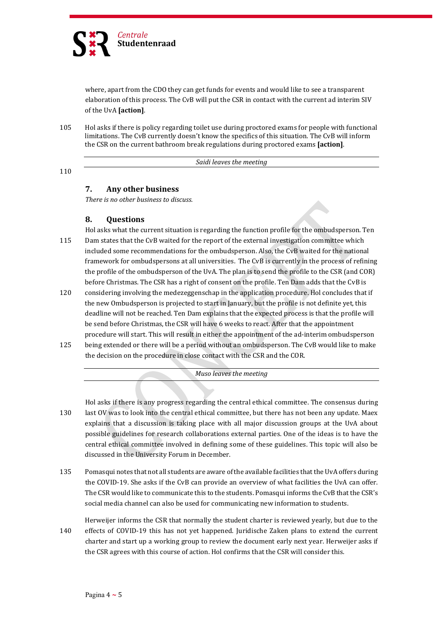

where, apart from the CDO they can get funds for events and would like to see a transparent elaboration of this process. The CvB will put the CSR in contact with the current ad interim SIV of the UvA **[action]**.

105 Hol asks if there is policy regarding toilet use during proctored exams for people with functional limitations. The CvB currently doesn't know the specifics of this situation. The CvB will inform the CSR on the current bathroom break regulations during proctored exams **[action]**.

*Saidi leaves the meeting*

110

# **7. Any other business**

*There is no other business to discuss.*

# **8. Questions**

Hol asks what the current situation is regarding the function profile for the ombudsperson. Ten 115 Dam states that the CvB waited for the report of the external investigation committee which included some recommendations for the ombudsperson. Also, the CvB waited for the national framework for ombudspersons at all universities. The CvB is currently in the process of refining the profile of the ombudsperson of the UvA. The plan is to send the profile to the CSR (and COR) before Christmas. The CSR has a right of consent on the profile. Ten Dam adds that the CvB is

- 120 considering involving the medezeggenschap in the application procedure. Hol concludes that if the new Ombudsperson is projected to start in January, but the profile is not definite yet, this deadline will not be reached. Ten Dam explains that the expected process is that the profile will be send before Christmas, the CSR will have 6 weeks to react. After that the appointment procedure will start. This will result in either the appointment of the ad-interim ombudsperson
- 125 being extended or there will be a period without an ombudsperson. The CvB would like to make the decision on the procedure in close contact with the CSR and the COR.

*Muso leaves the meeting*

Hol asks if there is any progress regarding the central ethical committee. The consensus during

- 130 last OV was to look into the central ethical committee, but there has not been any update. Maex explains that a discussion is taking place with all major discussion groups at the UvA about possible guidelines for research collaborations external parties. One of the ideas is to have the central ethical committee involved in defining some of these guidelines. This topic will also be discussed in the University Forum in December.
- 135 Pomasqui notes that not all students are aware of the available facilities that the UvA offers during the COVID-19. She asks if the CvB can provide an overview of what facilities the UvA can offer. The CSR would like to communicate this to the students. Pomasqui informs the CvB that the CSR's social media channel can also be used for communicating new information to students.

Herweijer informs the CSR that normally the student charter is reviewed yearly, but due to the 140 effects of COVID-19 this has not yet happened. Juridische Zaken plans to extend the current charter and start up a working group to review the document early next year. Herweijer asks if the CSR agrees with this course of action. Hol confirms that the CSR will consider this.